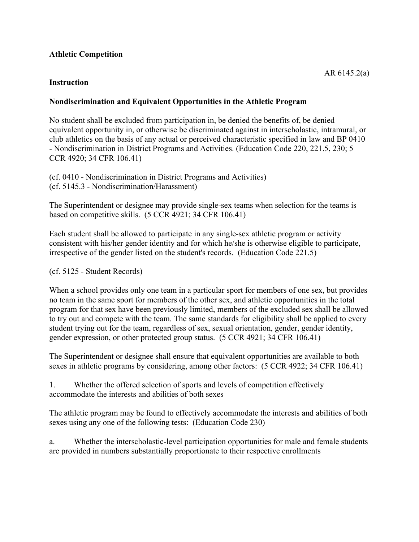# **Athletic Competition**

## **Instruction**

# **Nondiscrimination and Equivalent Opportunities in the Athletic Program**

No student shall be excluded from participation in, be denied the benefits of, be denied equivalent opportunity in, or otherwise be discriminated against in interscholastic, intramural, or club athletics on the basis of any actual or perceived characteristic specified in law and BP 0410 - Nondiscrimination in District Programs and Activities. (Education Code 220, 221.5, 230; 5 CCR 4920; 34 CFR 106.41)

(cf. 0410 - Nondiscrimination in District Programs and Activities) (cf. 5145.3 - Nondiscrimination/Harassment)

The Superintendent or designee may provide single-sex teams when selection for the teams is based on competitive skills. (5 CCR 4921; 34 CFR 106.41)

Each student shall be allowed to participate in any single-sex athletic program or activity consistent with his/her gender identity and for which he/she is otherwise eligible to participate, irrespective of the gender listed on the student's records. (Education Code 221.5)

## (cf. 5125 - Student Records)

When a school provides only one team in a particular sport for members of one sex, but provides no team in the same sport for members of the other sex, and athletic opportunities in the total program for that sex have been previously limited, members of the excluded sex shall be allowed to try out and compete with the team. The same standards for eligibility shall be applied to every student trying out for the team, regardless of sex, sexual orientation, gender, gender identity, gender expression, or other protected group status. (5 CCR 4921; 34 CFR 106.41)

The Superintendent or designee shall ensure that equivalent opportunities are available to both sexes in athletic programs by considering, among other factors: (5 CCR 4922; 34 CFR 106.41)

1. Whether the offered selection of sports and levels of competition effectively accommodate the interests and abilities of both sexes

The athletic program may be found to effectively accommodate the interests and abilities of both sexes using any one of the following tests: (Education Code 230)

a. Whether the interscholastic-level participation opportunities for male and female students are provided in numbers substantially proportionate to their respective enrollments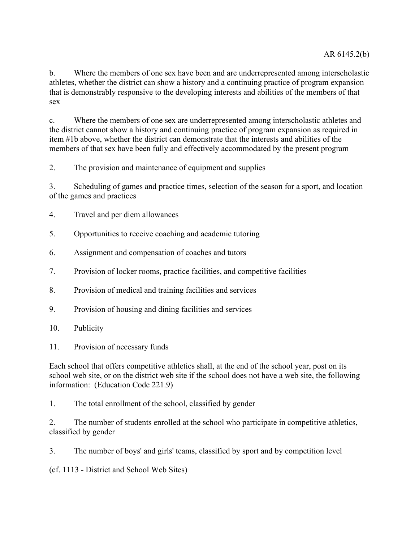b. Where the members of one sex have been and are underrepresented among interscholastic athletes, whether the district can show a history and a continuing practice of program expansion that is demonstrably responsive to the developing interests and abilities of the members of that sex

c. Where the members of one sex are underrepresented among interscholastic athletes and the district cannot show a history and continuing practice of program expansion as required in item #1b above, whether the district can demonstrate that the interests and abilities of the members of that sex have been fully and effectively accommodated by the present program

2. The provision and maintenance of equipment and supplies

3. Scheduling of games and practice times, selection of the season for a sport, and location of the games and practices

- 4. Travel and per diem allowances
- 5. Opportunities to receive coaching and academic tutoring
- 6. Assignment and compensation of coaches and tutors
- 7. Provision of locker rooms, practice facilities, and competitive facilities
- 8. Provision of medical and training facilities and services
- 9. Provision of housing and dining facilities and services
- 10. Publicity
- 11. Provision of necessary funds

Each school that offers competitive athletics shall, at the end of the school year, post on its school web site, or on the district web site if the school does not have a web site, the following information: (Education Code 221.9)

1. The total enrollment of the school, classified by gender

2. The number of students enrolled at the school who participate in competitive athletics, classified by gender

3. The number of boys' and girls' teams, classified by sport and by competition level

(cf. 1113 - District and School Web Sites)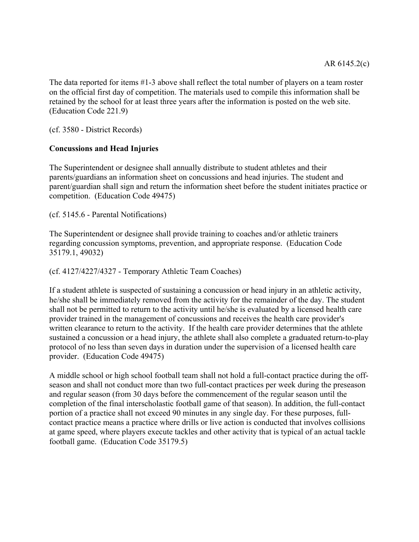The data reported for items #1-3 above shall reflect the total number of players on a team roster on the official first day of competition. The materials used to compile this information shall be retained by the school for at least three years after the information is posted on the web site. (Education Code 221.9)

(cf. 3580 - District Records)

### **Concussions and Head Injuries**

The Superintendent or designee shall annually distribute to student athletes and their parents/guardians an information sheet on concussions and head injuries. The student and parent/guardian shall sign and return the information sheet before the student initiates practice or competition. (Education Code 49475)

(cf. 5145.6 - Parental Notifications)

The Superintendent or designee shall provide training to coaches and/or athletic trainers regarding concussion symptoms, prevention, and appropriate response. (Education Code 35179.1, 49032)

#### (cf. 4127/4227/4327 - Temporary Athletic Team Coaches)

If a student athlete is suspected of sustaining a concussion or head injury in an athletic activity, he/she shall be immediately removed from the activity for the remainder of the day. The student shall not be permitted to return to the activity until he/she is evaluated by a licensed health care provider trained in the management of concussions and receives the health care provider's written clearance to return to the activity. If the health care provider determines that the athlete sustained a concussion or a head injury, the athlete shall also complete a graduated return-to-play protocol of no less than seven days in duration under the supervision of a licensed health care provider. (Education Code 49475)

A middle school or high school football team shall not hold a full-contact practice during the offseason and shall not conduct more than two full-contact practices per week during the preseason and regular season (from 30 days before the commencement of the regular season until the completion of the final interscholastic football game of that season). In addition, the full-contact portion of a practice shall not exceed 90 minutes in any single day. For these purposes, fullcontact practice means a practice where drills or live action is conducted that involves collisions at game speed, where players execute tackles and other activity that is typical of an actual tackle football game. (Education Code 35179.5)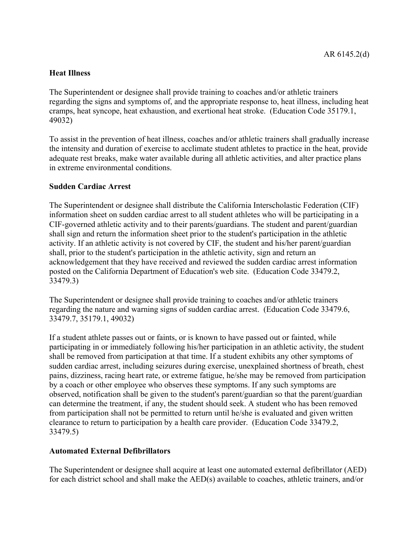## **Heat Illness**

The Superintendent or designee shall provide training to coaches and/or athletic trainers regarding the signs and symptoms of, and the appropriate response to, heat illness, including heat cramps, heat syncope, heat exhaustion, and exertional heat stroke. (Education Code 35179.1, 49032)

To assist in the prevention of heat illness, coaches and/or athletic trainers shall gradually increase the intensity and duration of exercise to acclimate student athletes to practice in the heat, provide adequate rest breaks, make water available during all athletic activities, and alter practice plans in extreme environmental conditions.

### **Sudden Cardiac Arrest**

The Superintendent or designee shall distribute the California Interscholastic Federation (CIF) information sheet on sudden cardiac arrest to all student athletes who will be participating in a CIF-governed athletic activity and to their parents/guardians. The student and parent/guardian shall sign and return the information sheet prior to the student's participation in the athletic activity. If an athletic activity is not covered by CIF, the student and his/her parent/guardian shall, prior to the student's participation in the athletic activity, sign and return an acknowledgement that they have received and reviewed the sudden cardiac arrest information posted on the California Department of Education's web site. (Education Code 33479.2, 33479.3)

The Superintendent or designee shall provide training to coaches and/or athletic trainers regarding the nature and warning signs of sudden cardiac arrest. (Education Code 33479.6, 33479.7, 35179.1, 49032)

If a student athlete passes out or faints, or is known to have passed out or fainted, while participating in or immediately following his/her participation in an athletic activity, the student shall be removed from participation at that time. If a student exhibits any other symptoms of sudden cardiac arrest, including seizures during exercise, unexplained shortness of breath, chest pains, dizziness, racing heart rate, or extreme fatigue, he/she may be removed from participation by a coach or other employee who observes these symptoms. If any such symptoms are observed, notification shall be given to the student's parent/guardian so that the parent/guardian can determine the treatment, if any, the student should seek. A student who has been removed from participation shall not be permitted to return until he/she is evaluated and given written clearance to return to participation by a health care provider. (Education Code 33479.2, 33479.5)

# **Automated External Defibrillators**

The Superintendent or designee shall acquire at least one automated external defibrillator (AED) for each district school and shall make the AED(s) available to coaches, athletic trainers, and/or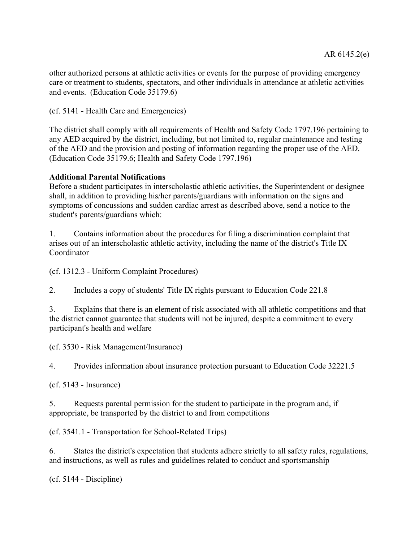other authorized persons at athletic activities or events for the purpose of providing emergency care or treatment to students, spectators, and other individuals in attendance at athletic activities and events. (Education Code 35179.6)

(cf. 5141 - Health Care and Emergencies)

The district shall comply with all requirements of Health and Safety Code 1797.196 pertaining to any AED acquired by the district, including, but not limited to, regular maintenance and testing of the AED and the provision and posting of information regarding the proper use of the AED. (Education Code 35179.6; Health and Safety Code 1797.196)

### **Additional Parental Notifications**

Before a student participates in interscholastic athletic activities, the Superintendent or designee shall, in addition to providing his/her parents/guardians with information on the signs and symptoms of concussions and sudden cardiac arrest as described above, send a notice to the student's parents/guardians which:

1. Contains information about the procedures for filing a discrimination complaint that arises out of an interscholastic athletic activity, including the name of the district's Title IX Coordinator

(cf. 1312.3 - Uniform Complaint Procedures)

2. Includes a copy of students' Title IX rights pursuant to Education Code 221.8

3. Explains that there is an element of risk associated with all athletic competitions and that the district cannot guarantee that students will not be injured, despite a commitment to every participant's health and welfare

(cf. 3530 - Risk Management/Insurance)

4. Provides information about insurance protection pursuant to Education Code 32221.5

(cf. 5143 - Insurance)

5. Requests parental permission for the student to participate in the program and, if appropriate, be transported by the district to and from competitions

(cf. 3541.1 - Transportation for School-Related Trips)

6. States the district's expectation that students adhere strictly to all safety rules, regulations, and instructions, as well as rules and guidelines related to conduct and sportsmanship

(cf. 5144 - Discipline)